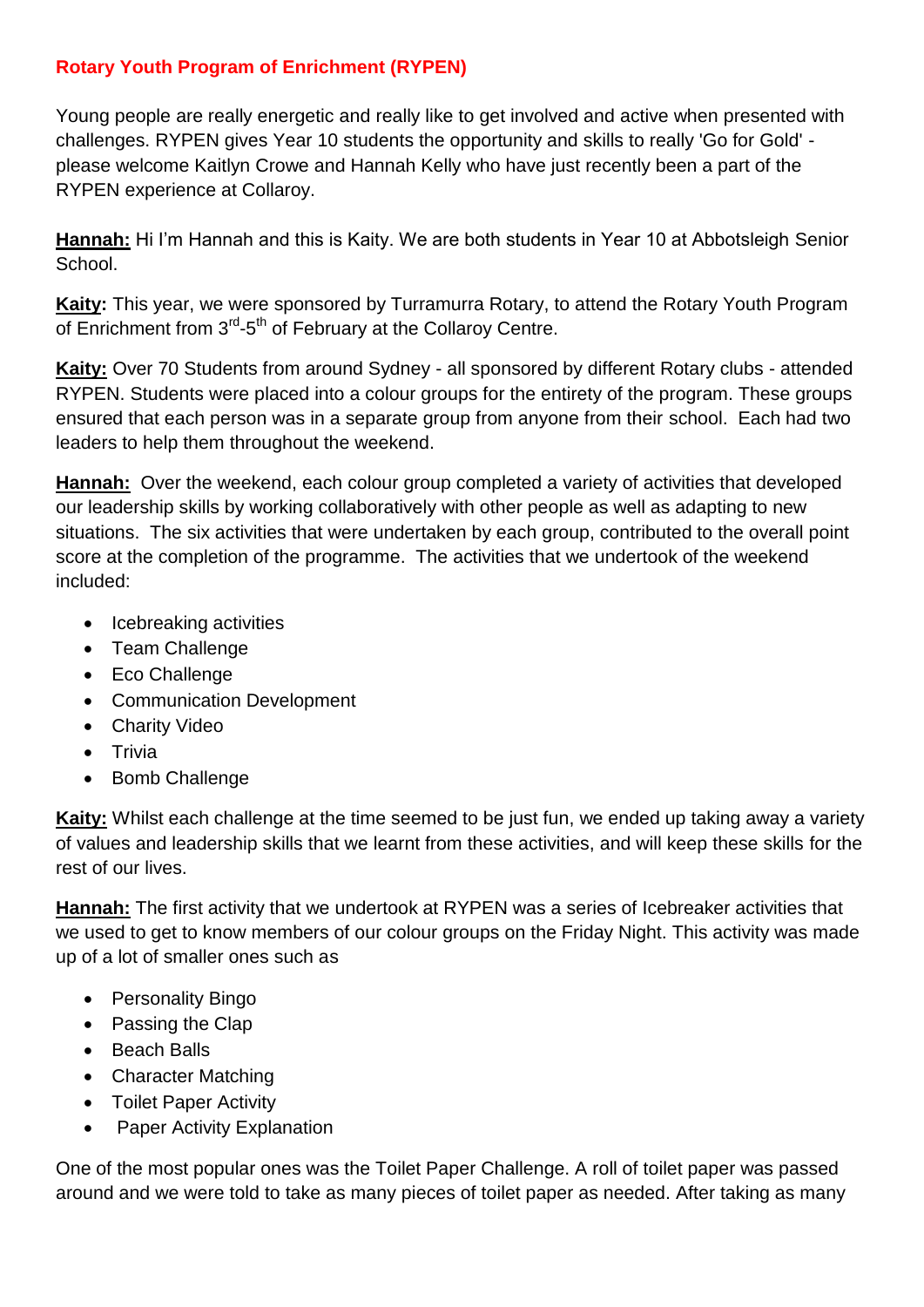## **Rotary Youth Program of Enrichment (RYPEN)**

Young people are really energetic and really like to get involved and active when presented with challenges. RYPEN gives Year 10 students the opportunity and skills to really 'Go for Gold' please welcome Kaitlyn Crowe and Hannah Kelly who have just recently been a part of the RYPEN experience at Collaroy.

**Hannah:** Hi I'm Hannah and this is Kaity. We are both students in Year 10 at Abbotsleigh Senior School.

**Kaity:** This year, we were sponsored by Turramurra Rotary, to attend the Rotary Youth Program of Enrichment from 3<sup>rd</sup>-5<sup>th</sup> of February at the Collaroy Centre.

**Kaity:** Over 70 Students from around Sydney - all sponsored by different Rotary clubs - attended RYPEN. Students were placed into a colour groups for the entirety of the program. These groups ensured that each person was in a separate group from anyone from their school. Each had two leaders to help them throughout the weekend.

**Hannah:** Over the weekend, each colour group completed a variety of activities that developed our leadership skills by working collaboratively with other people as well as adapting to new situations. The six activities that were undertaken by each group, contributed to the overall point score at the completion of the programme. The activities that we undertook of the weekend included:

- Icebreaking activities
- Team Challenge
- Eco Challenge
- Communication Development
- Charity Video
- Trivia
- Bomb Challenge

**Kaity:** Whilst each challenge at the time seemed to be just fun, we ended up taking away a variety of values and leadership skills that we learnt from these activities, and will keep these skills for the rest of our lives.

**Hannah:** The first activity that we undertook at RYPEN was a series of Icebreaker activities that we used to get to know members of our colour groups on the Friday Night. This activity was made up of a lot of smaller ones such as

- Personality Bingo
- Passing the Clap
- Beach Balls
- Character Matching
- Toilet Paper Activity
- Paper Activity Explanation

One of the most popular ones was the Toilet Paper Challenge. A roll of toilet paper was passed around and we were told to take as many pieces of toilet paper as needed. After taking as many